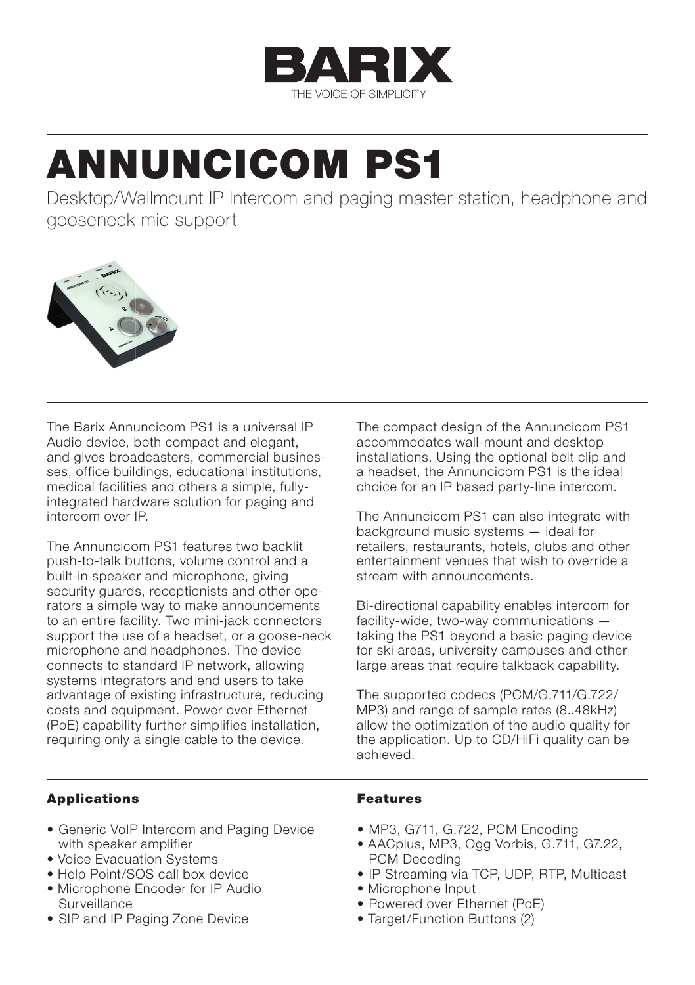

# ANNUNCICOM PS1

Desktop/Wallmount IP Intercom and paging master station, headphone and gooseneck mic support



The Barix Annuncicom PS1 is a universal IP Audio device, both compact and elegant, and gives broadcasters, commercial businesses, office buildings, educational institutions, medical facilities and others a simple, fullyintegrated hardware solution for paging and intercom over IP.

The Annuncicom PS1 features two backlit push-to-talk buttons, volume control and a built-in speaker and microphone, giving security guards, receptionists and other operators a simple way to make announcements to an entire facility. Two mini-jack connectors support the use of a headset, or a goose-neck microphone and headphones. The device connects to standard IP network, allowing systems integrators and end users to take advantage of existing infrastructure, reducing costs and equipment. Power over Ethernet (PoE) capability further simplifies installation, requiring only a single cable to the device.

The compact design of the Annuncicom PS1 accommodates wall-mount and desktop installations. Using the optional belt clip and a headset, the Annuncicom PS1 is the ideal choice for an IP based party-line intercom.

The Annuncicom PS1 can also integrate with background music systems — ideal for retailers, restaurants, hotels, clubs and other entertainment venues that wish to override a stream with announcements.

Bi-directional capability enables intercom for facility-wide, two-way communications taking the PS1 beyond a basic paging device for ski areas, university campuses and other large areas that require talkback capability.

The supported codecs (PCM/G.711/G.722/ MP3) and range of sample rates (8..48kHz) allow the optimization of the audio quality for the application. Up to CD/HiFi quality can be achieved.

# Applications

- Generic VoIP Intercom and Paging Device with speaker amplifier
- Voice Evacuation Systems
- Help Point/SOS call box device
- Microphone Encoder for IP Audio Surveillance
- SIP and IP Paging Zone Device

# Features

- MP3, G711, G.722, PCM Encoding
- AACplus, MP3, Ogg Vorbis, G.711, G7.22, PCM Decoding
- IP Streaming via TCP, UDP, RTP, Multicast
- Microphone Input
- Powered over Ethernet (PoE)
- Target/Function Buttons (2)